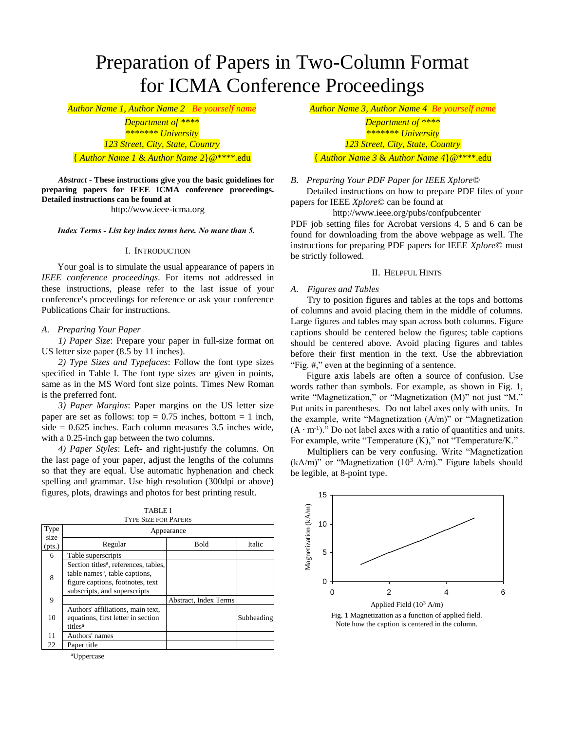# Preparation of Papers in Two-Column Format for ICMA Conference Proceedings

*Author Name 1, Author Name 2 Be yourself name Author Name 3, Author Name 4 Be yourself name*

*Department of \*\*\*\* Department of \*\*\*\* 123 Street, City, State, Country 123 Street, City, State, Country*

*Abstract* **- These instructions give you the basic guidelines for preparing papers for IEEE ICMA conference proceedings. Detailed instructions can be found at**

http://www.ieee-icma.org

*Index Terms - List key index terms here. No mare than 5.*

#### I. INTRODUCTION

Your goal is to simulate the usual appearance of papers in *IEEE conference proceedings*. For items not addressed in these instructions, please refer to the last issue of your conference's proceedings for reference or ask your conference Publications Chair for instructions.

# *A. Preparing Your Paper*

*1) Paper Size*: Prepare your paper in full-size format on US letter size paper (8.5 by 11 inches).

*2) Type Sizes and Typefaces*: Follow the font type sizes specified in Table I. The font type sizes are given in points, same as in the MS Word font size points. Times New Roman is the preferred font.

*3) Paper Margins*: Paper margins on the US letter size paper are set as follows: top  $= 0.75$  inches, bottom  $= 1$  inch, side  $= 0.625$  inches. Each column measures 3.5 inches wide, with a 0.25-inch gap between the two columns.

*4) Paper Styles*: Left- and right-justify the columns. On the last page of your paper, adjust the lengths of the columns so that they are equal. Use automatic hyphenation and check spelling and grammar. Use high resolution (300dpi or above) figures, plots, drawings and photos for best printing result.

| Type           | Appearance                                                                                                                                                          |                       |            |
|----------------|---------------------------------------------------------------------------------------------------------------------------------------------------------------------|-----------------------|------------|
| size<br>(pts.) | Regular                                                                                                                                                             | Bold                  | Italic     |
| 6              | Table superscripts                                                                                                                                                  |                       |            |
| 8              | Section titles <sup>a</sup> , references, tables,<br>table names <sup>a</sup> , table captions,<br>figure captions, footnotes, text<br>subscripts, and superscripts |                       |            |
| 9              |                                                                                                                                                                     | Abstract, Index Terms |            |
| 10             | Authors' affiliations, main text,<br>equations, first letter in section<br>titles <sup>a</sup>                                                                      |                       | Subheading |
| 11             | Authors' names                                                                                                                                                      |                       |            |
| 22             | Paper title                                                                                                                                                         |                       |            |
|                |                                                                                                                                                                     |                       |            |

TABLE I TYPE SIZE FOR PAPERS

<sup>a</sup>Uppercase

*\*\*\*\*\*\*\* University \*\*\*\*\*\*\* University*

{ *Author Name 1* & *Author Name 2*}@\*\*\*\*.edu { *Author Name 3* & *Author Name 4*}@\*\*\*\*.edu

*B. Preparing Your PDF Paper for IEEE Xplore©*

Detailed instructions on how to prepare PDF files of your papers for IEEE *Xplore*© can be found at

http://www.ieee.org/pubs/confpubcenter

PDF job setting files for Acrobat versions 4, 5 and 6 can be found for downloading from the above webpage as well. The instructions for preparing PDF papers for IEEE *Xplore*© must be strictly followed.

# II. HELPFUL HINTS

#### *A. Figures and Tables*

Try to position figures and tables at the tops and bottoms of columns and avoid placing them in the middle of columns. Large figures and tables may span across both columns. Figure captions should be centered below the figures; table captions should be centered above. Avoid placing figures and tables before their first mention in the text. Use the abbreviation "Fig. #," even at the beginning of a sentence.

Figure axis labels are often a source of confusion. Use words rather than symbols. For example, as shown in Fig. 1, write "Magnetization," or "Magnetization (M)" not just "M." Put units in parentheses. Do not label axes only with units. In the example, write "Magnetization (A/m)" or "Magnetization  $(A \cdot m^{-1})$ ." Do not label axes with a ratio of quantities and units. For example, write "Temperature (K)," not "Temperature/K."

Multipliers can be very confusing. Write "Magnetization (kA/m)" or "Magnetization  $(10^3 \text{ A/m})$ ." Figure labels should be legible, at 8-point type.